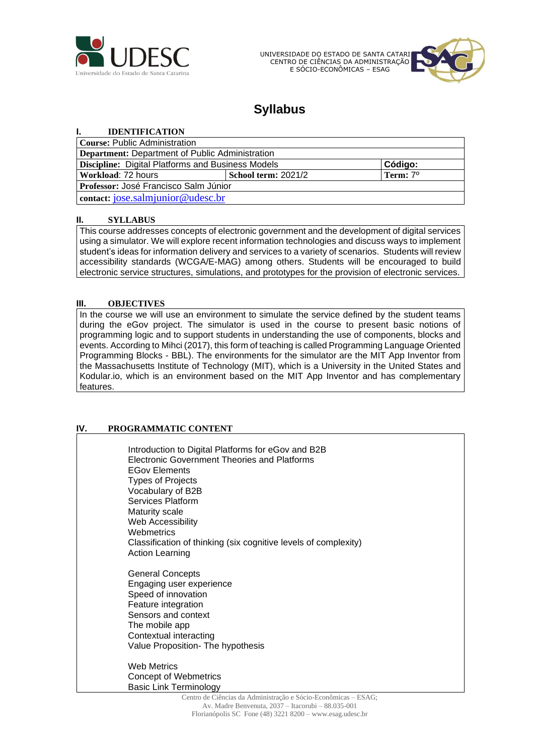

UNIVERSIDADE DO ESTADO DE SANTA CATARI CENTRO DE CIÊNCIAS DA ADMINISTRAÇÃO E SÓCIO-ECONÔMICAS – ESAG



# **Syllabus**

## **I. IDENTIFICATION**

| Course: Public Administration                     |                     |                      |
|---------------------------------------------------|---------------------|----------------------|
| Department: Department of Public Administration   |                     |                      |
| Discipline: Digital Platforms and Business Models |                     | Código:              |
| Workload: 72 hours                                | School term: 2021/2 | Term: 7 <sup>0</sup> |
| Professor: José Francisco Salm Júnior             |                     |                      |
| contact: jose.salmjunior@udesc.br                 |                     |                      |

### **II. SYLLABUS**

This course addresses concepts of electronic government and the development of digital services using a simulator. We will explore recent information technologies and discuss ways to implement student's ideas for information delivery and services to a variety of scenarios. Students will review accessibility standards (WCGA/E-MAG) among others. Students will be encouraged to build electronic service structures, simulations, and prototypes for the provision of electronic services.

## **III. OBJECTIVES**

In the course we will use an environment to simulate the service defined by the student teams during the eGov project. The simulator is used in the course to present basic notions of programming logic and to support students in understanding the use of components, blocks and events. According to Mihci (2017), this form of teaching is called Programming Language Oriented Programming Blocks - BBL). The environments for the simulator are the MIT App Inventor from the Massachusetts Institute of Technology (MIT), which is a University in the United States and Kodular.io, which is an environment based on the MIT App Inventor and has complementary features.

## **IV. PROGRAMMATIC CONTENT**

Introduction to Digital Platforms for eGov and B2B Electronic Government Theories and Platforms EGov Elements Types of Projects Vocabulary of B2B Services Platform Maturity scale Web Accessibility **Webmetrics** Classification of thinking (six cognitive levels of complexity) Action Learning General Concepts Engaging user experience Speed of innovation Feature integration Sensors and context The mobile app Contextual interacting Value Proposition- The hypothesis Web Metrics Concept of Webmetrics Basic Link Terminology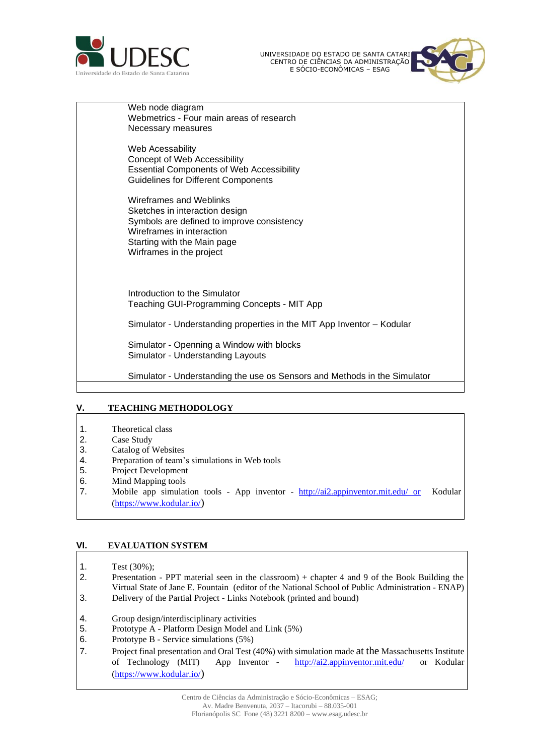

UNIVERSIDADE DO ESTADO DE SANTA CATARINA CENTRO DE CIENCIAS DA ADMINISTRAÇÃO E SÓCIO-ECONÔMICAS – ESAG



Web node diagram Webmetrics - Four main areas of research Necessary measures

Web Acessability Concept of Web Accessibility Essential Components of Web Accessibility Guidelines for Different Components

Wireframes and Weblinks Sketches in interaction design Symbols are defined to improve consistency Wireframes in interaction Starting with the Main page Wirframes in the project

Introduction to the Simulator Teaching GUI-Programming Concepts - MIT App

Simulator - Understanding properties in the MIT App Inventor – Kodular

Simulator - Openning a Window with blocks Simulator - Understanding Layouts

Simulator - Understanding the use os Sensors and Methods in the Simulator

### **V. TEACHING METHODOLOGY**

- 1. Theoretical class
- 2. Case Study
- 3. Catalog of Websites
- 4. Preparation of team's simulations in Web tools
- 5. Project Development
- 6. Mind Mapping tools
- 7. Mobile app simulation tools App inventor [http://ai2.appinventor.mit.edu/ or](http://ai2.appinventor.mit.edu/) Kodular [\(https://www.kodular.io/](https://www.kodular.io/))

### **VI. EVALUATION SYSTEM**

- 1. Test (30%);
- 2. Presentation PPT material seen in the classroom) + chapter 4 and 9 of the Book Building the Virtual State of Jane E. Fountain (editor of the National School of Public Administration - ENAP) 3. Delivery of the Partial Project - Links Notebook (printed and bound)
- 4. Group design/interdisciplinary activities
- 5. Prototype A Platform Design Model and Link (5%)
- 6. Prototype B Service simulations (5%)
- 7. Project final presentation and Oral Test (40%) with simulation made at the Massachusetts Institute of Technology (MIT) App Inventor - <http://ai2.appinventor.mit.edu/> or Kodular [\(https://www.kodular.io/](https://www.kodular.io/))